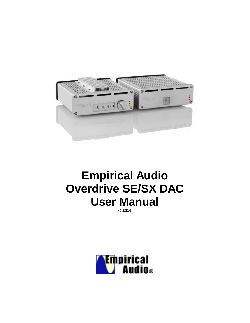

# **Empirical Audio Overdrive SE/SX DAC User Manual**

**© 2016**

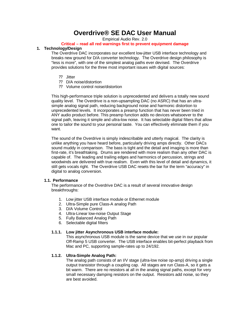## **Overdrive® SE DAC User Manual**

Empirical Audio Rev. 2.0

## **Critical – read all red warnings first to prevent equipment damage**

#### **1. Technology/Design**

The Overdrive DAC incorporates our excellent low-jitter USB interface technology and breaks new ground for D/A converter technology. The Overdrive design philosophy is "less is more", with one of the simplest analog paths ever devised. The Overdrive provides solutions for the three most important issues with digital sources:

- ? ? Jitter
- ? ? D/A noise/distortion
- ? ? Volume control noise/distortion

This high-performance triple solution is unprecedented and delivers a totally new sound quality level. The Overdrive is a non-upsampling DAC (no ASRC) that has an ultrasimple analog signal path, reducing background noise and harmonic distortion to unprecedented levels. It incorporates a preamp function that has never been tried in ANY audio product before. This preamp function adds no devices whatsoever to the signal path, leaving it simple and ultra-low noise. It has selectable digital filters that allow one to tailor the sound to your personal taste. You can effectively eliminate them if you want.

The sound of the Overdrive is simply indescribable and utterly magical. The clarity is unlike anything you have heard before, particularly driving amps directly. Other DACs sound muddy in comparison. The bass is tight and the detail and imaging is more than first-rate, it's breathtaking. Drums are rendered with more realism than any other DAC is capable of. The leading and trailing edges and harmonics of percussion, strings and woodwinds are delivered with true realism. Even with this level of detail and dynamics, it still gets vocals right. The Overdrive USB DAC resets the bar for the term "accuracy" in digital to analog conversion.

#### **1.1. Performance**

The performance of the Overdrive DAC is a result of several innovative design breakthroughs:

- 1. Low jitter USB interface module or Ethernet module
- 2. Ultra-Simple pure Class-A analog Path
- 3. D/A Volume Control
- 4. Ultra-Linear low-noise Output Stage
- 5. Fully Balanced Analog Path
- 6. Selectable digital filters

#### **1.1.1. Low jitter Asynchronous USB interface module:**

This asynchronous USB module is the same device that we use in our popular Off-Ramp 5 USB converter. The USB interface enables bit-perfect playback from Mac and PC, supporting sample-rates up to 24/192.

#### **1.1.2. Ultra-Simple Analog Path:**

The analog path consists of an I/V stage (ultra-low noise op-amp) driving a single output transistor through a coupling cap. All stages are run Class-A, so it gets a bit warm. There are no resistors at all in the analog signal paths, except for very small necessary damping resistors on the output. Resistors add noise, so they are best avoided.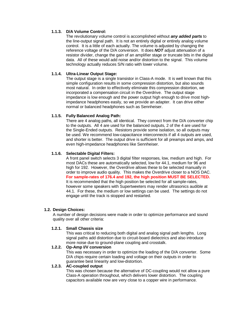#### **1.1.3. D/A Volume Control:**

The revolutionary volume control is accomplished without *any added parts* to the line-output signal path. It is not an entirely digital or entirely analog volume control. It is a little of each actually. The volume is adjusted by changing the reference voltage of the D/A conversion. It does *NOT* adjust attenuation of a resistor divider, change the gain of an amplifier stage or truncate bits in the digital data. All of these would add noise and/or distortion to the signal. This volume technology actually reduces S/N ratio with lower volume.

#### **1.1.4. Ultra-Linear Output Stage:**

The output stage is a single transistor in Class-A mode. It is well known that this simple configuration results in some compression distortion, but also sounds most natural. In order to effectively eliminate this compression distortion, we incorporated a compensation circuit in the Overdrive. The output stage impedance is low enough and the power output high enough to drive most highimpedance headphones easily, so we provide an adapter. It can drive either normal or balanced headphones such as Sennheiser.

#### **1.1.5. Fully Balanced Analog Path:**

There are 4 analog paths, all identical. They connect from the D/A converter chip to the outputs. All 4 are used for the balanced outputs, 2 of the 4 are used for the Single-Ended outputs. Resistors provide some isolation, so all outputs may be used. We recommend low-capacitance interconnects if all 4 outputs are used, and shorter is better. The output drive is sufficient for all preamps and amps, and even high-impedance headphones like Sennheiser.

#### **1.1.6. Selectable Digital Filters:**

A front panel switch selects 3 digital filter responses, low, medium and high. For most DACs these are automatically selected, low for 44.1, medium for 96 and high for 192. However, the Overdrive allows these to be selected manually in order to improve audio quality. This makes the Overdrive closer to a NOS DAC. **For sample-rates of 176.4 and 192, the high position MUST BE SELECTED.** It is recommended that the high position be selected for all sample-rates, however some speakers with Supertweeters may render ultrasonics audible at 44.1. For these, the medium or low settings can be used. The settings do not engage until the track is stopped and restarted.

#### **1.2. Design Choices:**

A number of design decisions were made in order to optimize performance and sound quality over all other criteria:

#### **1.2.1. Small Chassis size**

This was critical to reducing both digital and analog signal path lengths. Long signal paths add distortion due to circuit-board dielectrics and also introduce more noise due to ground-plane coupling and crosstalk.

#### **1.2.2. Op-Amp I/V conversion**

This was necessary in order to optimize the loading of the D/A converter. Some D/A chips require certain loading and voltage on their outputs in order to guarantee best linearity and low-distortion.

#### **1.2.3. AC-coupled output**

This was chosen because the alternative of DC-coupling would not allow a pure Class-A operation throughout, which delivers lower distortion. The coupling capacitors available now are very close to a copper wire in performance.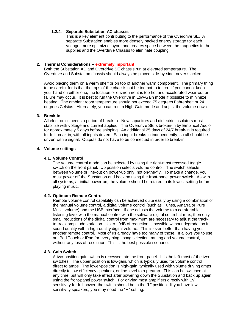#### **1.2.4. Separate Substation AC chassis**

This is a key element contributing to the performance of the Overdrive SE. A separate Substation enables more densely packed energy storage for each voltage, more optimized layout and creates space between the magnetics in the supplies and the Overdrive Chassis to eliminate coupling.

#### **2. Thermal Considerations – extremely important**

Both the Substation AC and Overdrive SE chassis run at elevated temperature. The Overdrive and Substation chassis should always be placed side-by-side, never stacked.

Avoid placing them on a warm shelf or on top of another warm component. The primary thing to be careful for is that the tops of the chassis not be too hot to touch. If you cannot keep your hand on either one, the location or environment is too hot and accelerated wear-out or failure may occur. It is best to run the Overdrive in Low-Gain mode if possible to minimize heating. The ambient room temperature should not exceed 75 degrees Fahrenheit or 24 degrees Celsius. Alternately, you can run in High-Gain mode and adjust the volume down.

#### **3. Break-in**

All electronics needs a period of break-in. New capacitors and dielectric insulators must stabilize with voltage and current applied. The Overdrive SE is broken-in by Empirical Audio for approximately 5 days before shipping. An additional 25 days of 24/7 break-in is required for full break-in, with all inputs driven. Each input breaks-in independently, so all should be driven with a signal. Outputs do not have to be connected in order to break-in.

#### **4. Volume settings**

#### **4.1. Volume Control**

The volume control mode can be selected by using the right-most recessed toggle switch on the front panel. Up position selects volume control. The switch selects between volume or line-out on power-up only, not on-the-fly. To make a change, you must power off the Substation and back on using the front-panel power switch. As with all systems, at initial power-on, the volume should be rotated to its lowest setting before playing music.

#### **4.2. Optimum Remote Control**

Remote volume control capability can be achieved quite easily by using a combination of the manual volume control, a digital volume control (such as iTunes, Amarra or Pure Music volume) and the USB interface. If one adjusts the volume to a comfortable listening level with the manual control with the software digital control at max, then only small reductions of the digital control from maximum are necessary to adjust the trackto-track amplitude variation. Up to –9dB of reduction is possible without degradation in sound quality with a high-quality digital volume. This is even better than having yet another remote control. Most of us already have too many of those. It allows you to use an iPod Touch or iPad for everything: song selection, muting and volume control, without any loss of resolution. This is the best possible scenario.

#### **4.3. Gain Switch**

A two-position gain switch is recessed into the front-panel. It is the left-most of the two switches. The upper position is low-gain, which is typically used for volume control direct to amps. The lower-position is high-gain, typically used with volume driving amps directly to low-efficiency speakers, or line-level to a preamp. This can be switched at any time, but will only take effect after powering down the Substation and back up again using the front-panel power switch. For driving most amplifiers directly with 1V sensitivity for full power, the switch should be in the "L" position. If you have lowsensitivity speakers, you may need the "H" setting.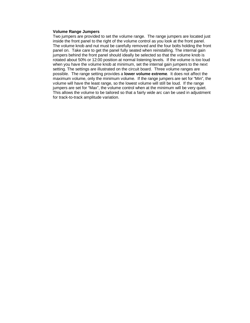#### **Volume Range Jumpers**

Two jumpers are provided to set the volume range. The range jumpers are located just inside the front panel to the right of the volume control as you look at the front panel. The volume knob and nut must be carefully removed and the four bolts holding the front panel on. Take care to get the panel fully seated when reinstalling. The internal gain jumpers behind the front panel should ideally be selected so that the volume knob is rotated about 50% or 12:00 position at normal listening levels. If the volume is too loud when you have the volume knob at minimum, set the internal gain jumpers to the next setting. The settings are illustrated on the circuit board. Three volume ranges are possible. The range setting provides a **lower volume extreme**. It does not affect the maximum volume, only the minimum volume. If the range jumpers are set for "Min", the volume will have the least range, so the lowest volume will still be loud. If the range jumpers are set for "Max", the volume control when at the minimum will be very quiet. This allows the volume to be tailored so that a fairly wide arc can be used in adjustment for track-to-track amplitude variation.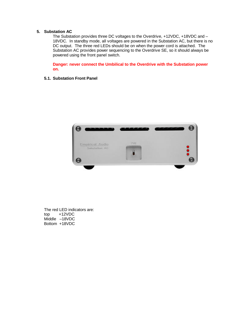#### **5. Substation AC**

The Substation provides three DC voltages to the Overdrive, +12VDC, +18VDC and – 18VDC. In standby mode, all voltages are powered in the Substation AC, but there is no DC output. The three red LEDs should be on when the power cord is attached. The Substation AC provides power sequencing to the Overdrive SE, so it should always be powered using the front panel switch.

**Danger: never connect the Umbilical to the Overdrive with the Substation power on.**

#### **5.1. Substation Front Panel**



The red LED indicators are: top +12VDC Middle –18VDC Bottom +18VDC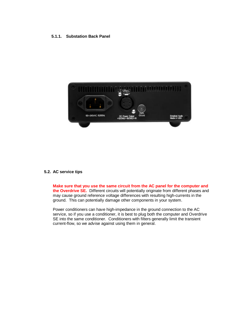#### **5.1.1. Substation Back Panel**



#### **5.2. AC service tips**

**Make sure that you use the same circuit from the AC panel for the computer and the Overdrive SE.** Different circuits will potentially originate from different phases and may cause ground reference voltage differences with resulting high-currents in the ground. This can potentially damage other components in your system.

Power conditioners can have high-impedance in the ground connection to the AC service, so if you use a conditioner, it is best to plug both the computer and Overdrive SE into the same conditioner. Conditioners with filters generally limit the transient current-flow, so we advise against using them in general.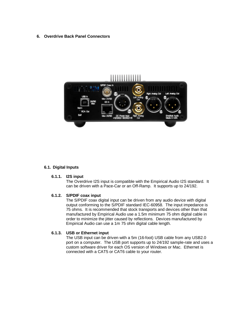#### **6. Overdrive Back Panel Connectors**



#### **6.1. Digital Inputs**

#### **6.1.1. I2S input**

The Overdrive I2S input is compatible with the Empirical Audio I2S standard. It can be driven with a Pace-Car or an Off-Ramp. It supports up to 24/192.

#### **6.1.2. S/PDIF coax input**

The S/PDIF coax digital input can be driven from any audio device with digital output conforming to the S/PDIF standard IEC-60958. The input impedance is 75 ohms. It is recommended that stock transports and devices other than that manufactured by Empirical Audio use a 1.5m minimum 75 ohm digital cable in order to minimize the jitter caused by reflections. Devices manufactured by Empirical Audio can use a 1m 75 ohm digital cable length.

#### **6.1.3. USB or Ethernet input**

The USB input can be driven with a 5m (16-foot) USB cable from any USB2.0 port on a computer. The USB port supports up to 24/192 sample-rate and uses a custom software driver for each OS version of Windows or Mac. Ethernet is connected with a CAT5 or CAT6 cable to your router.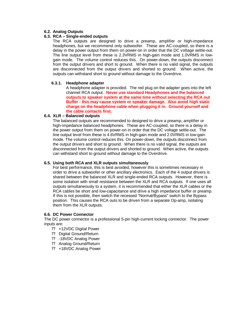#### **6.2. Analog Outputs**

#### **6.3. RCA – Single-ended outputs**

The RCA outputs are designed to drive a preamp, amplifier or high-impedance headphones, but we recommend only subwoofer. These are AC-coupled, so there is a delay in the power output from them on power-on in order that the DC voltage settle-out. The line output level from these is 2.3VRMS in high-gain mode and 1.0VRMS in lowgain mode. The volume control reduces this. On power-down, the outputs disconnect from the output drivers and short to ground. When there is no valid signal, the outputs are disconnected from the output drivers and shorted to ground. When active, the outputs can withstand short to ground without damage to the Overdrive.

#### **6.3.1. Headphone adapter**

A headphone adapter is provided. The red plug on the adapter goes into the left channel RCA output. **Never use standard Headphones and the balanced outputs to speaker system at the same time without selecting the RCA out Buffer - this may cause system or speaker damage. Also avoid high static charge on the headphone cable when plugging it in. Ground yourself and the cable contacts first.**

#### **6.4. XLR – Balanced outputs**

The balanced outputs are recommended to designed to drive a preamp, amplifier or high-impedance balanced headphones. These are AC-coupled, so there is a delay in the power output from them on power-on in order that the DC voltage settle-out. The line output level from these is 4.6VRMS in high-gain mode and 2.0VRMS in low-gain mode. The volume control reduces this. On power-down, the outputs disconnect from the output drivers and short to ground. When there is no valid signal, the outputs are disconnected from the output drivers and shorted to ground. When active, the outputs can withstand short to ground without damage to the Overdrive.

#### **6.5. Using both RCA and XLR outputs simultaneously**

For best performance, this is best avoided, however this is sometimes necessary in order to drive a subwoofer or other ancillary electronics. Each of the 4 output drivers is shared between the balanced XLR and single-ended RCA outputs. However, there is some isolation with small resistance between the XLR and RCA outputs. If one uses all outputs simultaneously to a system, it is recommended that either the XLR cables or the RCA cables be short and low-capacitance and drive a high impedance buffer or preamp. If this is not possible, then switch the recessed "Normal/Bypass" switch to the Bypass position. This causes the RCA outs to be driven from a separate Op-amp, isolating them from the XLR outputs.

#### **6.6. DC Power Connector**

The DC power connector is a professional 5-pin high-current locking connector. The power inputs are:

- ? ? +12VDC Digital Power
- ? ? Digital Ground/Return
- ?? -18VDC Analog Power
- ?? Analog Ground/Return
- ? ? +18VDC Analog Power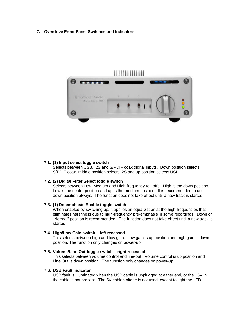#### **7. Overdrive Front Panel Switches and Indicators**



#### **7.1. (3) Input select toggle switch**

Selects between USB, I2S and S/PDIF coax digital inputs. Down position selects S/PDIF coax, middle position selects I2S and up position selects USB.

#### **7.2. (2) Digital Filter Select toggle switch**

Selects between Low, Medium and High frequency roll-offs. High is the down position, Low is the center position and up is the medium position. It is recommended to use down position always. The function does not take effect until a new track is started.

#### **7.3. (1) De-emphasis Enable toggle switch**

When enabled by switching up, it applies an equalization at the high-frequencies that eliminates harshness due to high-frequency pre-emphasis in some recordings. Down or "Normal" position is recommended. The function does not take effect until a new track is started.

#### **7.4. High/Low Gain switch – left recessed**

This selects between high and low gain. Low gain is up position and high gain is down position. The function only changes on power-up.

#### **7.5. Volume/Line-Out toggle switch – right recessed**

This selects between volume control and line-out. Volume control is up position and Line Out is down position. The function only changes on power-up.

#### **7.6. USB Fault Indicator**

USB fault is illuminated when the USB cable is unplugged at either end, or the +5V in the cable is not present. The 5V cable voltage is not used, except to light the LED.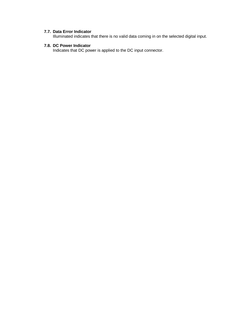#### **7.7. Data Error Indicator**

Illuminated indicates that there is no valid data coming in on the selected digital input.

### **7.8. DC Power Indicator**

Indicates that DC power is applied to the DC input connector.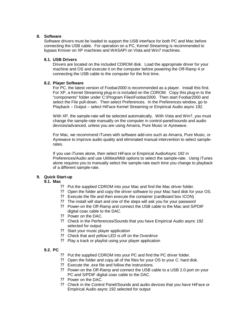#### **8. Software**

Software drivers must be loaded to support the USB interface for both PC and Mac before connecting the USB cable. For operation on a PC, Kernel Streaming is recommended to bypass Kmixer on XP machines and WASAPI on Vista and Win7 machines.

#### **8.1. USB Drivers**

Drivers are located on the included CDROM disk. Load the appropriate driver for your machine and OS and execute it on the computer before powering the Off-Ramp 4 or connecting the USB cable to the computer for the first time.

#### **8.2. Player Software**

For PC, the latest version of Foobar2000 is recommended as a player. Install this first. For XP, a Kernel Streaming plug-in is included on the CDROM. Copy this plug-in to the "components" folder under C:\Program Files\Foobar2000. Then start Foobar2000 and select the File pull-down. Then select Preferences. In the Preferences window, go to Playback – Output – select HiFace Kernel Streaming or Empirical Audio async 192.

With XP, the sample-rate will be selected automatically. With Vista and Win7, you must change the sample-rate manually on the computer in control-panel/sounds and audio devices/advanced, unless you are using Amarra, Pure Music or Ayrewave.

For Mac, we recommend iTunes with software add-ons such as Amarra, Pure Music, or Ayrewave to improve audio quality and eliminated manual intervention to select samplerates.

If you use iTunes alone, then select HiFace or Empirical AudioAsync 192 in Preferences/Audio and use Utilities/Midi options to select the sample-rate. Using iTunes alone requires you to manually select the sample-rate each time you change to playback of a different sample-rate.

#### **9. Quick Start-up**

#### **9.1. Mac**

- ? ? Put the supplied CDROM into your Mac and find the Mac driver folder.
- ? ? Open the folder and copy the driver software to your Mac hard disk for your OS.
- ? ? Execute the file and then execute the container (cardboard box ICON)
- ? ? The install will start and one of the steps will ask you for your password
- ? ? Power-on the Off-Ramp and connect the USB cable to the Mac and S/PDIF digital coax cable to the DAC.
- ? ? Power on the DAC.
- ?? Check in the Perferences/Sounds that you have Empirical Audio async 192 selected for output
- ? ? Start your music player application
- ?? Check that and yellow LED is off on the Overdrive
- ? ? Play a track or playlist using your player application

#### **9.2. PC**

- ?? Put the supplied CDROM into your PC and find the PC driver folder.
- ? ? Open the folder and copy all of the files for your OS to your C: hard disk.
- ? ? Execute the .exe file and follow the instructions.
- ? ? Power-on the Off-Ramp and connect the USB cable to a USB 2.0 port on your PC and S/PDIF digital coax cable to the DAC.
- ?? Power on the DAC.
- ? ? Check in the Control Panel/Sounds and audio devices that you have HiFace or Empirical Audio async 192 selected for output